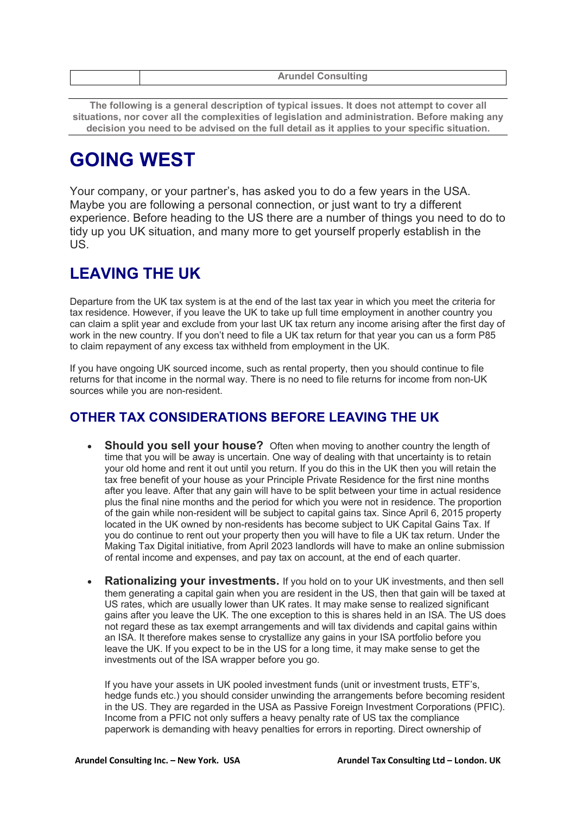| <b>Arundel Consulting</b> |
|---------------------------|
|                           |

**The following is a general description of typical issues. It does not attempt to cover all situations, nor cover all the complexities of legislation and administration. Before making any decision you need to be advised on the full detail as it applies to your specific situation.**

# **GOING WEST**

Your company, or your partner's, has asked you to do a few years in the USA. Maybe you are following a personal connection, or just want to try a different experience. Before heading to the US there are a number of things you need to do to tidy up you UK situation, and many more to get yourself properly establish in the US.

### **LEAVING THE UK**

Departure from the UK tax system is at the end of the last tax year in which you meet the criteria for tax residence. However, if you leave the UK to take up full time employment in another country you can claim a split year and exclude from your last UK tax return any income arising after the first day of work in the new country. If you don't need to file a UK tax return for that year you can us a form P85 to claim repayment of any excess tax withheld from employment in the UK.

If you have ongoing UK sourced income, such as rental property, then you should continue to file returns for that income in the normal way. There is no need to file returns for income from non-UK sources while you are non-resident.

### **OTHER TAX CONSIDERATIONS BEFORE LEAVING THE UK**

- **Should you sell your house?** Often when moving to another country the length of time that you will be away is uncertain. One way of dealing with that uncertainty is to retain your old home and rent it out until you return. If you do this in the UK then you will retain the tax free benefit of your house as your Principle Private Residence for the first nine months after you leave. After that any gain will have to be split between your time in actual residence plus the final nine months and the period for which you were not in residence. The proportion of the gain while non-resident will be subject to capital gains tax. Since April 6, 2015 property located in the UK owned by non-residents has become subject to UK Capital Gains Tax. If you do continue to rent out your property then you will have to file a UK tax return. Under the Making Tax Digital initiative, from April 2023 landlords will have to make an online submission of rental income and expenses, and pay tax on account, at the end of each quarter.
- **Rationalizing your investments.** If you hold on to your UK investments, and then sell them generating a capital gain when you are resident in the US, then that gain will be taxed at US rates, which are usually lower than UK rates. It may make sense to realized significant gains after you leave the UK. The one exception to this is shares held in an ISA. The US does not regard these as tax exempt arrangements and will tax dividends and capital gains within an ISA. It therefore makes sense to crystallize any gains in your ISA portfolio before you leave the UK. If you expect to be in the US for a long time, it may make sense to get the investments out of the ISA wrapper before you go.

If you have your assets in UK pooled investment funds (unit or investment trusts, ETF's, hedge funds etc.) you should consider unwinding the arrangements before becoming resident in the US. They are regarded in the USA as Passive Foreign Investment Corporations (PFIC). Income from a PFIC not only suffers a heavy penalty rate of US tax the compliance paperwork is demanding with heavy penalties for errors in reporting. Direct ownership of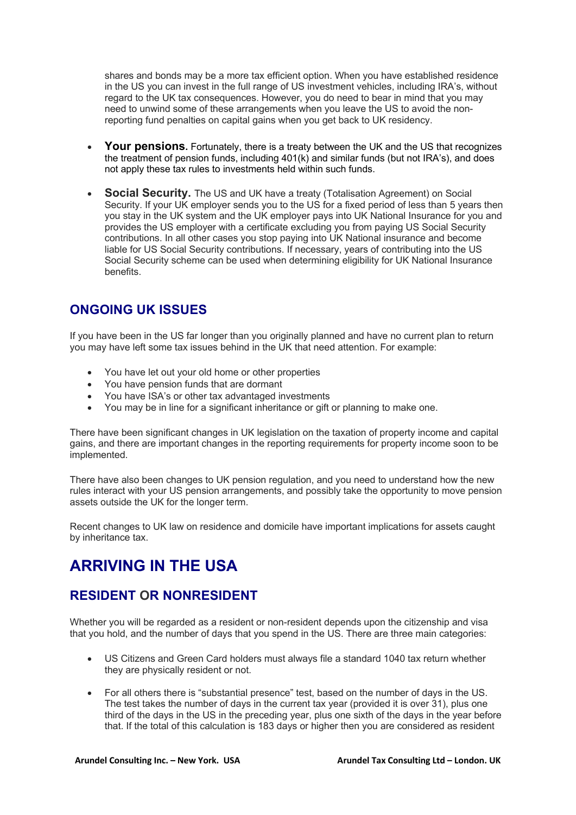shares and bonds may be a more tax efficient option. When you have established residence in the US you can invest in the full range of US investment vehicles, including IRA's, without regard to the UK tax consequences. However, you do need to bear in mind that you may need to unwind some of these arrangements when you leave the US to avoid the nonreporting fund penalties on capital gains when you get back to UK residency.

- **Your pensions.** Fortunately, there is a treaty between the UK and the US that recognizes the treatment of pension funds, including 401(k) and similar funds (but not IRA's), and does not apply these tax rules to investments held within such funds.
- **Social Security.** The US and UK have a treaty (Totalisation Agreement) on Social Security. If your UK employer sends you to the US for a fixed period of less than 5 years then you stay in the UK system and the UK employer pays into UK National Insurance for you and provides the US employer with a certificate excluding you from paying US Social Security contributions. In all other cases you stop paying into UK National insurance and become liable for US Social Security contributions. If necessary, years of contributing into the US Social Security scheme can be used when determining eligibility for UK National Insurance benefits.

### **ONGOING UK ISSUES**

If you have been in the US far longer than you originally planned and have no current plan to return you may have left some tax issues behind in the UK that need attention. For example:

- You have let out your old home or other properties
- You have pension funds that are dormant
- You have ISA's or other tax advantaged investments
- You may be in line for a significant inheritance or gift or planning to make one.

There have been significant changes in UK legislation on the taxation of property income and capital gains, and there are important changes in the reporting requirements for property income soon to be implemented.

There have also been changes to UK pension regulation, and you need to understand how the new rules interact with your US pension arrangements, and possibly take the opportunity to move pension assets outside the UK for the longer term.

Recent changes to UK law on residence and domicile have important implications for assets caught by inheritance tax.

## **ARRIVING IN THE USA**

### **RESIDENT OR NONRESIDENT**

Whether you will be regarded as a resident or non-resident depends upon the citizenship and visa that you hold, and the number of days that you spend in the US. There are three main categories:

- US Citizens and Green Card holders must always file a standard 1040 tax return whether they are physically resident or not.
- For all others there is "substantial presence" test, based on the number of days in the US. The test takes the number of days in the current tax year (provided it is over 31), plus one third of the days in the US in the preceding year, plus one sixth of the days in the year before that. If the total of this calculation is 183 days or higher then you are considered as resident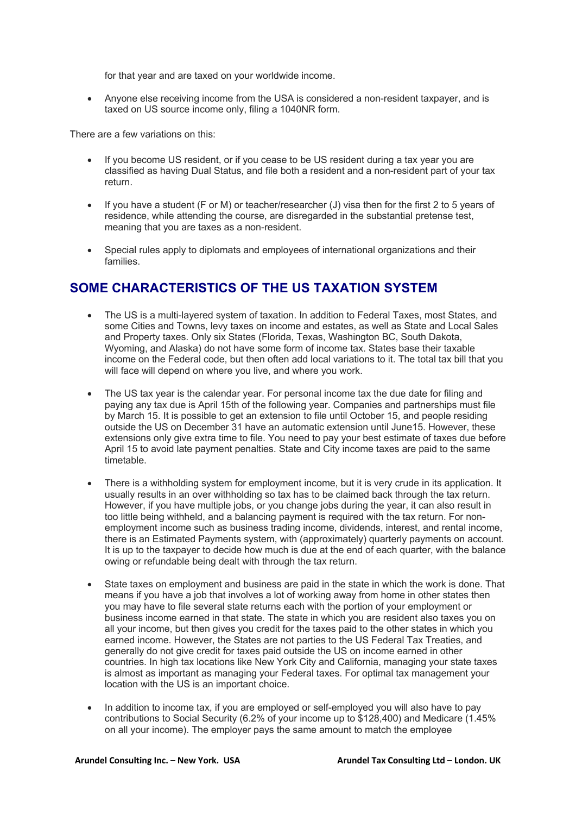for that year and are taxed on your worldwide income.

• Anyone else receiving income from the USA is considered a non-resident taxpayer, and is taxed on US source income only, filing a 1040NR form.

There are a few variations on this:

- If you become US resident, or if you cease to be US resident during a tax year you are classified as having Dual Status, and file both a resident and a non-resident part of your tax return.
- If you have a student (F or M) or teacher/researcher (J) visa then for the first 2 to 5 years of residence, while attending the course, are disregarded in the substantial pretense test, meaning that you are taxes as a non-resident.
- Special rules apply to diplomats and employees of international organizations and their families.

#### **SOME CHARACTERISTICS OF THE US TAXATION SYSTEM**

- The US is a multi-layered system of taxation. In addition to Federal Taxes, most States, and some Cities and Towns, levy taxes on income and estates, as well as State and Local Sales and Property taxes. Only six States (Florida, Texas, Washington BC, South Dakota, Wyoming, and Alaska) do not have some form of income tax. States base their taxable income on the Federal code, but then often add local variations to it. The total tax bill that you will face will depend on where you live, and where you work.
- The US tax year is the calendar year. For personal income tax the due date for filing and paying any tax due is April 15th of the following year. Companies and partnerships must file by March 15. It is possible to get an extension to file until October 15, and people residing outside the US on December 31 have an automatic extension until June15. However, these extensions only give extra time to file. You need to pay your best estimate of taxes due before April 15 to avoid late payment penalties. State and City income taxes are paid to the same timetable.
- There is a withholding system for employment income, but it is very crude in its application. It usually results in an over withholding so tax has to be claimed back through the tax return. However, if you have multiple jobs, or you change jobs during the year, it can also result in too little being withheld, and a balancing payment is required with the tax return. For nonemployment income such as business trading income, dividends, interest, and rental income, there is an Estimated Payments system, with (approximately) quarterly payments on account. It is up to the taxpayer to decide how much is due at the end of each quarter, with the balance owing or refundable being dealt with through the tax return.
- State taxes on employment and business are paid in the state in which the work is done. That means if you have a job that involves a lot of working away from home in other states then you may have to file several state returns each with the portion of your employment or business income earned in that state. The state in which you are resident also taxes you on all your income, but then gives you credit for the taxes paid to the other states in which you earned income. However, the States are not parties to the US Federal Tax Treaties, and generally do not give credit for taxes paid outside the US on income earned in other countries. In high tax locations like New York City and California, managing your state taxes is almost as important as managing your Federal taxes. For optimal tax management your location with the US is an important choice.
- In addition to income tax, if you are employed or self-employed you will also have to pay contributions to Social Security (6.2% of your income up to \$128,400) and Medicare (1.45% on all your income). The employer pays the same amount to match the employee